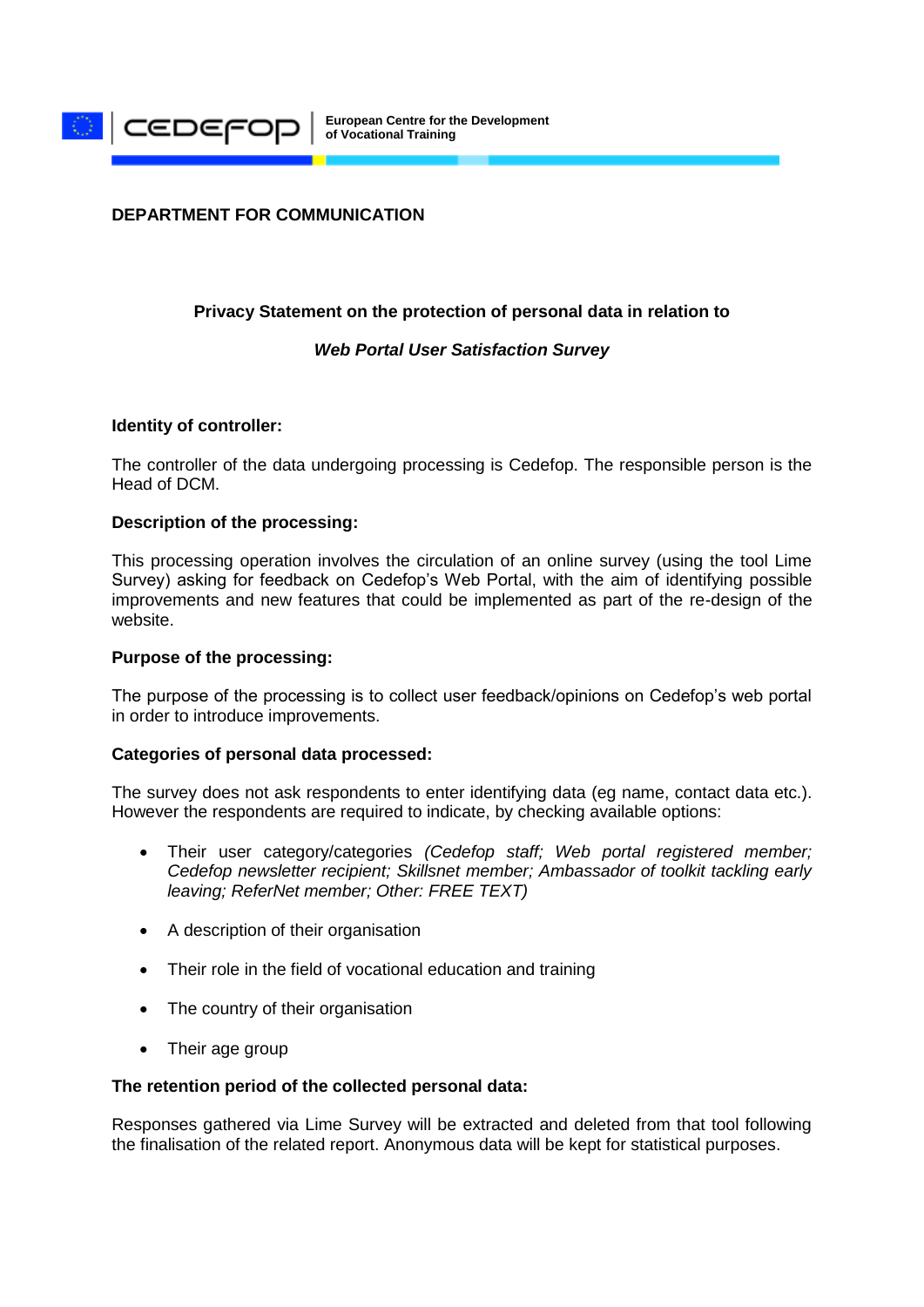

# **DEPARTMENT FOR COMMUNICATION**

# **Privacy Statement on the protection of personal data in relation to**

#### *Web Portal User Satisfaction Survey*

#### **Identity of controller:**

The controller of the data undergoing processing is Cedefop. The responsible person is the Head of DCM.

#### **Description of the processing:**

This processing operation involves the circulation of an online survey (using the tool Lime Survey) asking for feedback on Cedefop's Web Portal, with the aim of identifying possible improvements and new features that could be implemented as part of the re-design of the website.

#### **Purpose of the processing:**

The purpose of the processing is to collect user feedback/opinions on Cedefop's web portal in order to introduce improvements.

#### **Categories of personal data processed:**

The survey does not ask respondents to enter identifying data (eg name, contact data etc.). However the respondents are required to indicate, by checking available options:

- Their user category/categories *(Cedefop staff; Web portal registered member; Cedefop newsletter recipient; Skillsnet member; Ambassador of toolkit tackling early leaving; ReferNet member; Other: FREE TEXT)*
- A description of their organisation
- Their role in the field of vocational education and training
- The country of their organisation
- Their age group

#### **The retention period of the collected personal data:**

Responses gathered via Lime Survey will be extracted and deleted from that tool following the finalisation of the related report. Anonymous data will be kept for statistical purposes.